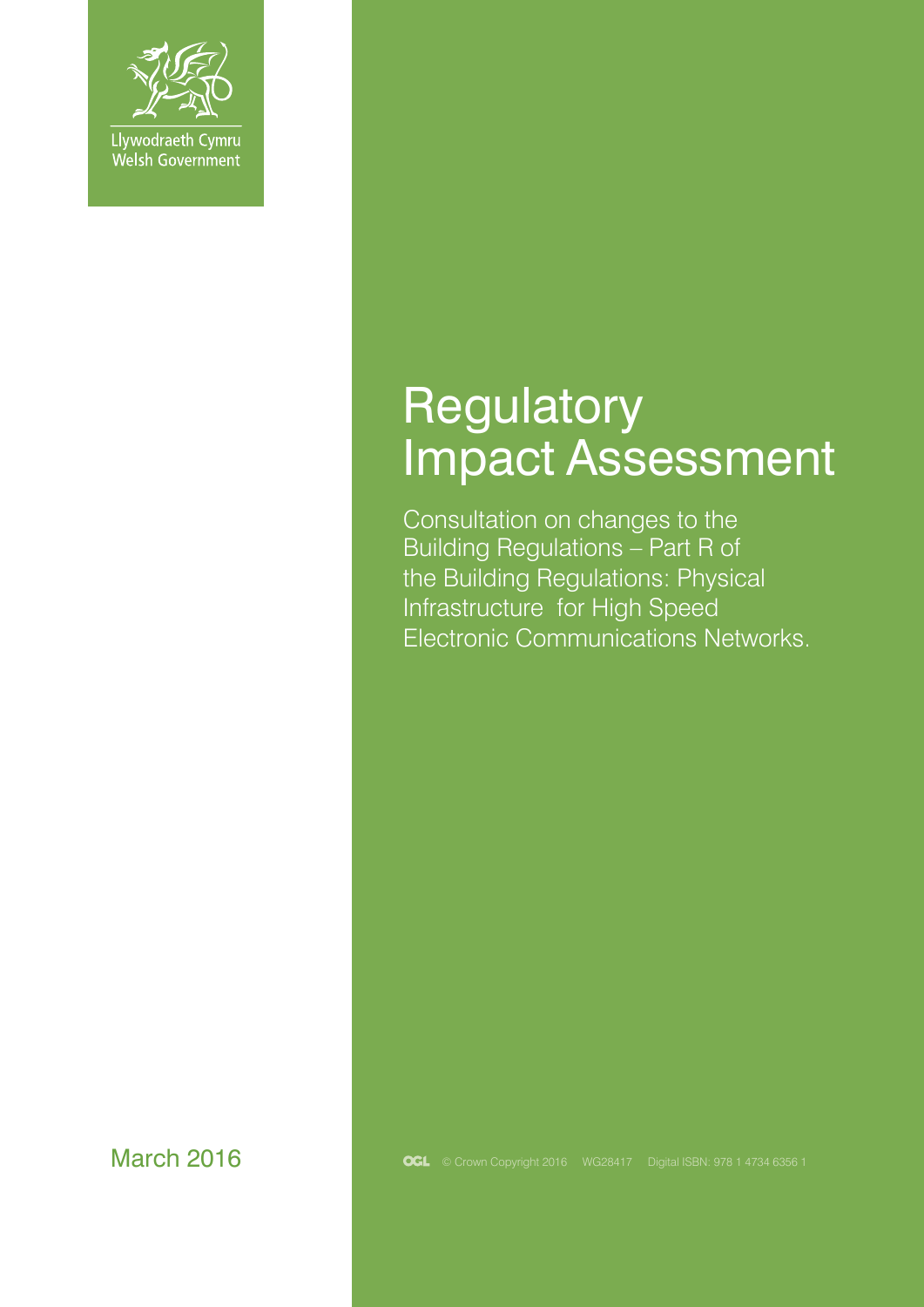

# **Regulatory** Impact Assessment

Consultation on changes to the Building Regulations – Part R of the Building Regulations: Physical Infrastructure for High Speed Electronic Communications Networks.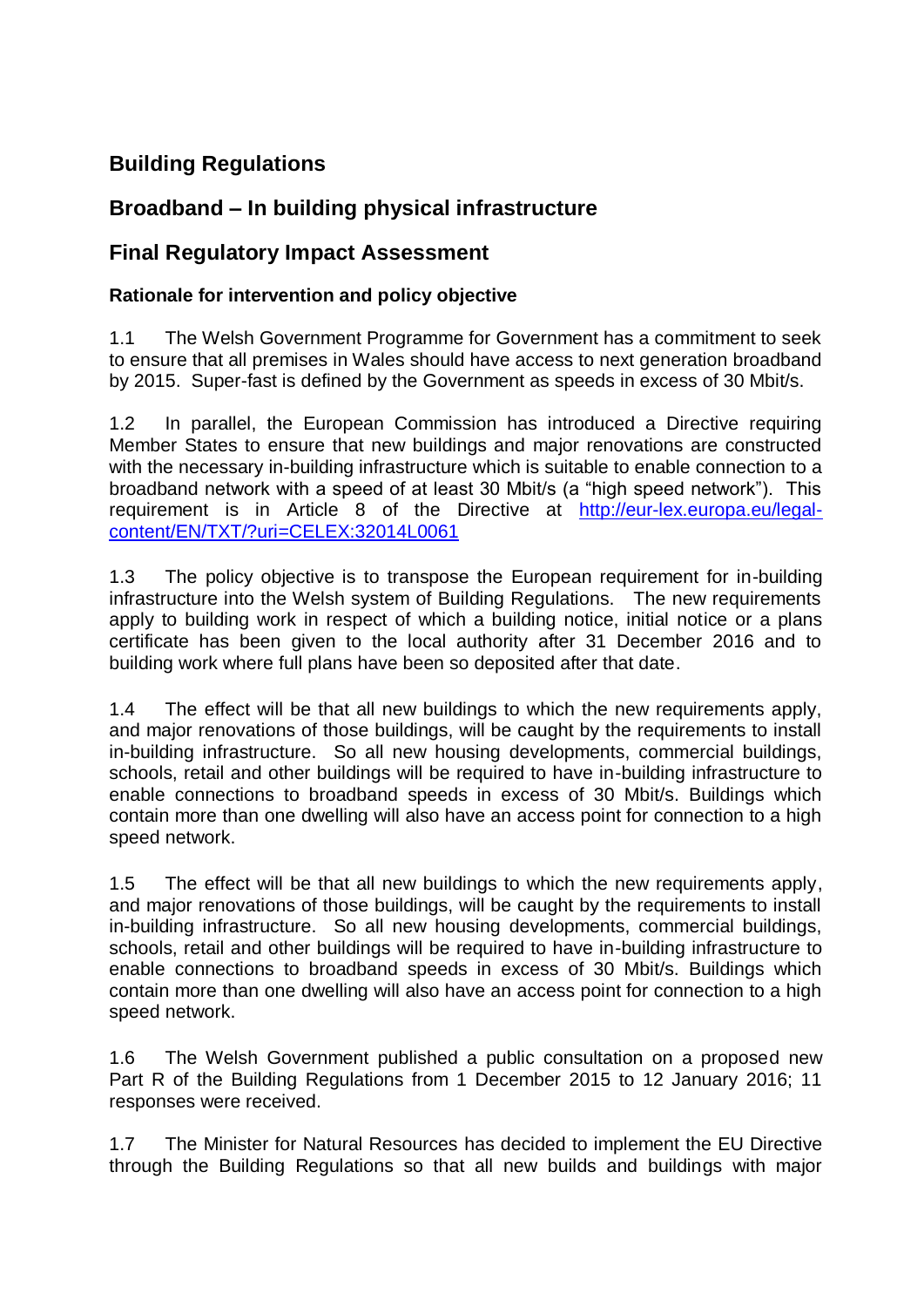# **Building Regulations**

# **Broadband – In building physical infrastructure**

# **Final Regulatory Impact Assessment**

#### **Rationale for intervention and policy objective**

1.1 The Welsh Government Programme for Government has a commitment to seek to ensure that all premises in Wales should have access to next generation broadband by 2015. Super-fast is defined by the Government as speeds in excess of 30 Mbit/s.

1.2 In parallel, the European Commission has introduced a Directive requiring Member States to ensure that new buildings and major renovations are constructed with the necessary in-building infrastructure which is suitable to enable connection to a broadband network with a speed of at least 30 Mbit/s (a "high speed network"). This requirement is in Article 8 of the Directive at [http://eur-lex.europa.eu/legal](http://eur-lex.europa.eu/legal-content/EN/TXT/?uri=CELEX:32014L0061)[content/EN/TXT/?uri=CELEX:32014L0061](http://eur-lex.europa.eu/legal-content/EN/TXT/?uri=CELEX:32014L0061)

1.3 The policy objective is to transpose the European requirement for in-building infrastructure into the Welsh system of Building Regulations. The new requirements apply to building work in respect of which a building notice, initial notice or a plans certificate has been given to the local authority after 31 December 2016 and to building work where full plans have been so deposited after that date.

1.4 The effect will be that all new buildings to which the new requirements apply, and major renovations of those buildings, will be caught by the requirements to install in-building infrastructure. So all new housing developments, commercial buildings, schools, retail and other buildings will be required to have in-building infrastructure to enable connections to broadband speeds in excess of 30 Mbit/s. Buildings which contain more than one dwelling will also have an access point for connection to a high speed network.

1.5 The effect will be that all new buildings to which the new requirements apply, and major renovations of those buildings, will be caught by the requirements to install in-building infrastructure. So all new housing developments, commercial buildings, schools, retail and other buildings will be required to have in-building infrastructure to enable connections to broadband speeds in excess of 30 Mbit/s. Buildings which contain more than one dwelling will also have an access point for connection to a high speed network.

1.6 The Welsh Government published a public consultation on a proposed new Part R of the Building Regulations from 1 December 2015 to 12 January 2016; 11 responses were received.

1.7 The Minister for Natural Resources has decided to implement the EU Directive through the Building Regulations so that all new builds and buildings with major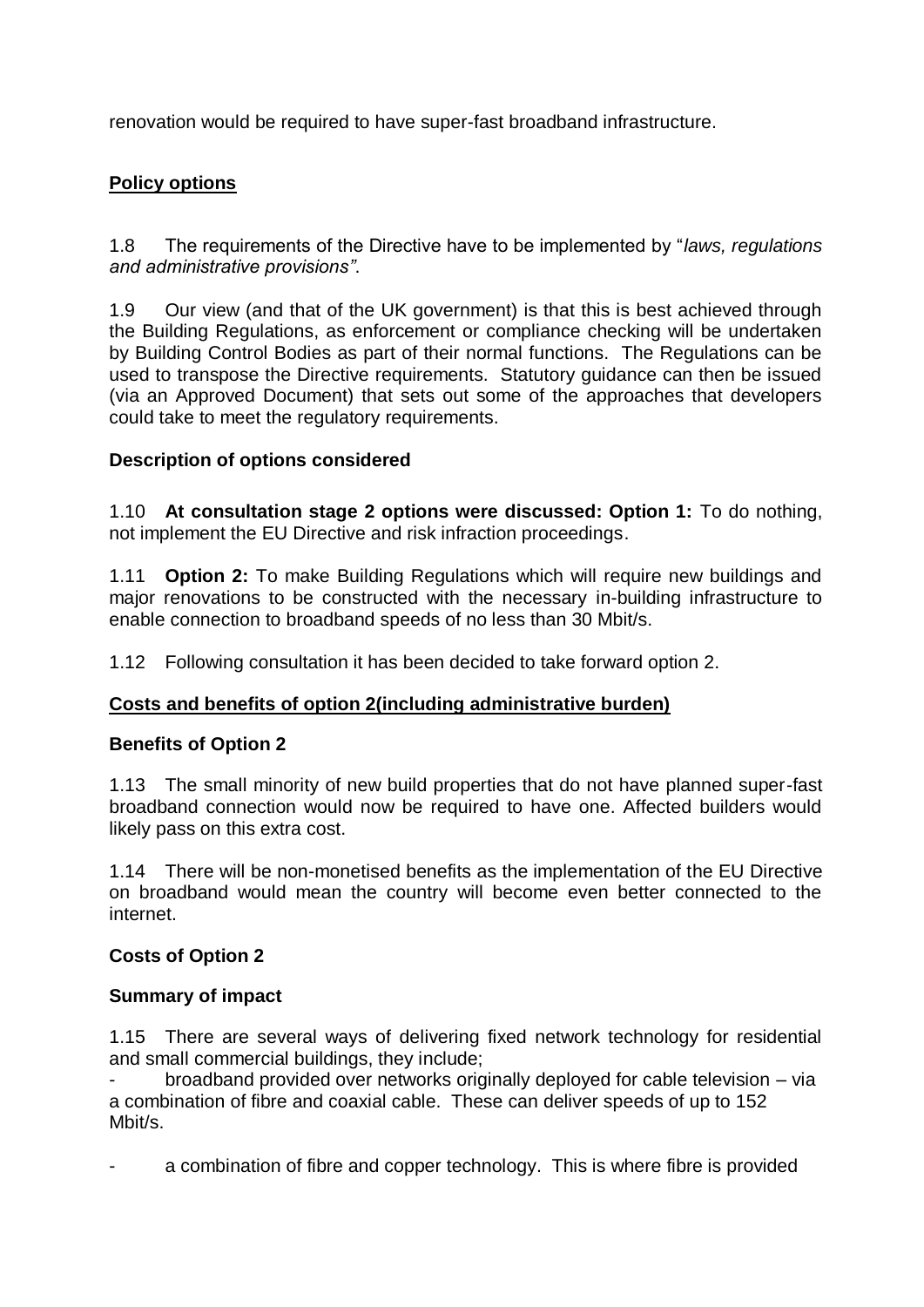renovation would be required to have super-fast broadband infrastructure.

#### **Policy options**

1.8 The requirements of the Directive have to be implemented by "*laws, regulations and administrative provisions"*.

1.9 Our view (and that of the UK government) is that this is best achieved through the Building Regulations, as enforcement or compliance checking will be undertaken by Building Control Bodies as part of their normal functions. The Regulations can be used to transpose the Directive requirements. Statutory guidance can then be issued (via an Approved Document) that sets out some of the approaches that developers could take to meet the regulatory requirements.

#### **Description of options considered**

1.10 **At consultation stage 2 options were discussed: Option 1:** To do nothing, not implement the EU Directive and risk infraction proceedings.

1.11 **Option 2:** To make Building Regulations which will require new buildings and major renovations to be constructed with the necessary in-building infrastructure to enable connection to broadband speeds of no less than 30 Mbit/s.

1.12 Following consultation it has been decided to take forward option 2.

#### **Costs and benefits of option 2(including administrative burden)**

#### **Benefits of Option 2**

1.13 The small minority of new build properties that do not have planned super-fast broadband connection would now be required to have one. Affected builders would likely pass on this extra cost.

1.14 There will be non-monetised benefits as the implementation of the EU Directive on broadband would mean the country will become even better connected to the internet.

#### **Costs of Option 2**

#### **Summary of impact**

1.15 There are several ways of delivering fixed network technology for residential and small commercial buildings, they include;

- broadband provided over networks originally deployed for cable television – via a combination of fibre and coaxial cable. These can deliver speeds of up to 152 Mbit/s.

a combination of fibre and copper technology. This is where fibre is provided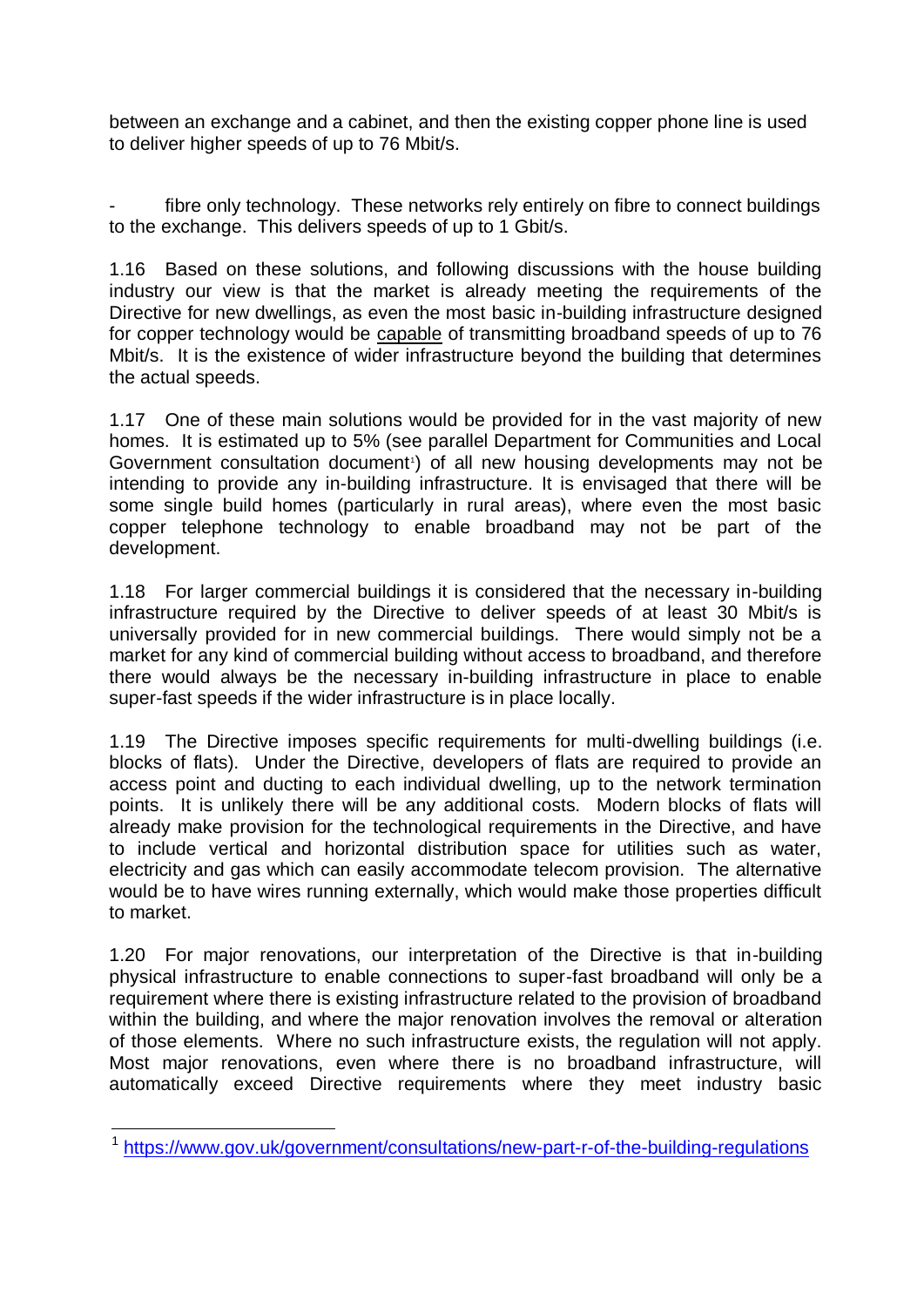between an exchange and a cabinet, and then the existing copper phone line is used to deliver higher speeds of up to 76 Mbit/s.

fibre only technology. These networks rely entirely on fibre to connect buildings to the exchange. This delivers speeds of up to 1 Gbit/s.

1.16 Based on these solutions, and following discussions with the house building industry our view is that the market is already meeting the requirements of the Directive for new dwellings, as even the most basic in-building infrastructure designed for copper technology would be capable of transmitting broadband speeds of up to 76 Mbit/s. It is the existence of wider infrastructure beyond the building that determines the actual speeds.

1.17 One of these main solutions would be provided for in the vast majority of new homes. It is estimated up to 5% (see parallel Department for Communities and Local Government consultation document<sup>1</sup>) of all new housing developments may not be intending to provide any in-building infrastructure. It is envisaged that there will be some single build homes (particularly in rural areas), where even the most basic copper telephone technology to enable broadband may not be part of the development.

1.18 For larger commercial buildings it is considered that the necessary in-building infrastructure required by the Directive to deliver speeds of at least 30 Mbit/s is universally provided for in new commercial buildings. There would simply not be a market for any kind of commercial building without access to broadband, and therefore there would always be the necessary in-building infrastructure in place to enable super-fast speeds if the wider infrastructure is in place locally.

1.19 The Directive imposes specific requirements for multi-dwelling buildings (i.e. blocks of flats). Under the Directive, developers of flats are required to provide an access point and ducting to each individual dwelling, up to the network termination points. It is unlikely there will be any additional costs. Modern blocks of flats will already make provision for the technological requirements in the Directive, and have to include vertical and horizontal distribution space for utilities such as water, electricity and gas which can easily accommodate telecom provision. The alternative would be to have wires running externally, which would make those properties difficult to market.

1.20 For major renovations, our interpretation of the Directive is that in-building physical infrastructure to enable connections to super-fast broadband will only be a requirement where there is existing infrastructure related to the provision of broadband within the building, and where the major renovation involves the removal or alteration of those elements. Where no such infrastructure exists, the regulation will not apply. Most major renovations, even where there is no broadband infrastructure, will automatically exceed Directive requirements where they meet industry basic

 1 <https://www.gov.uk/government/consultations/new-part-r-of-the-building-regulations>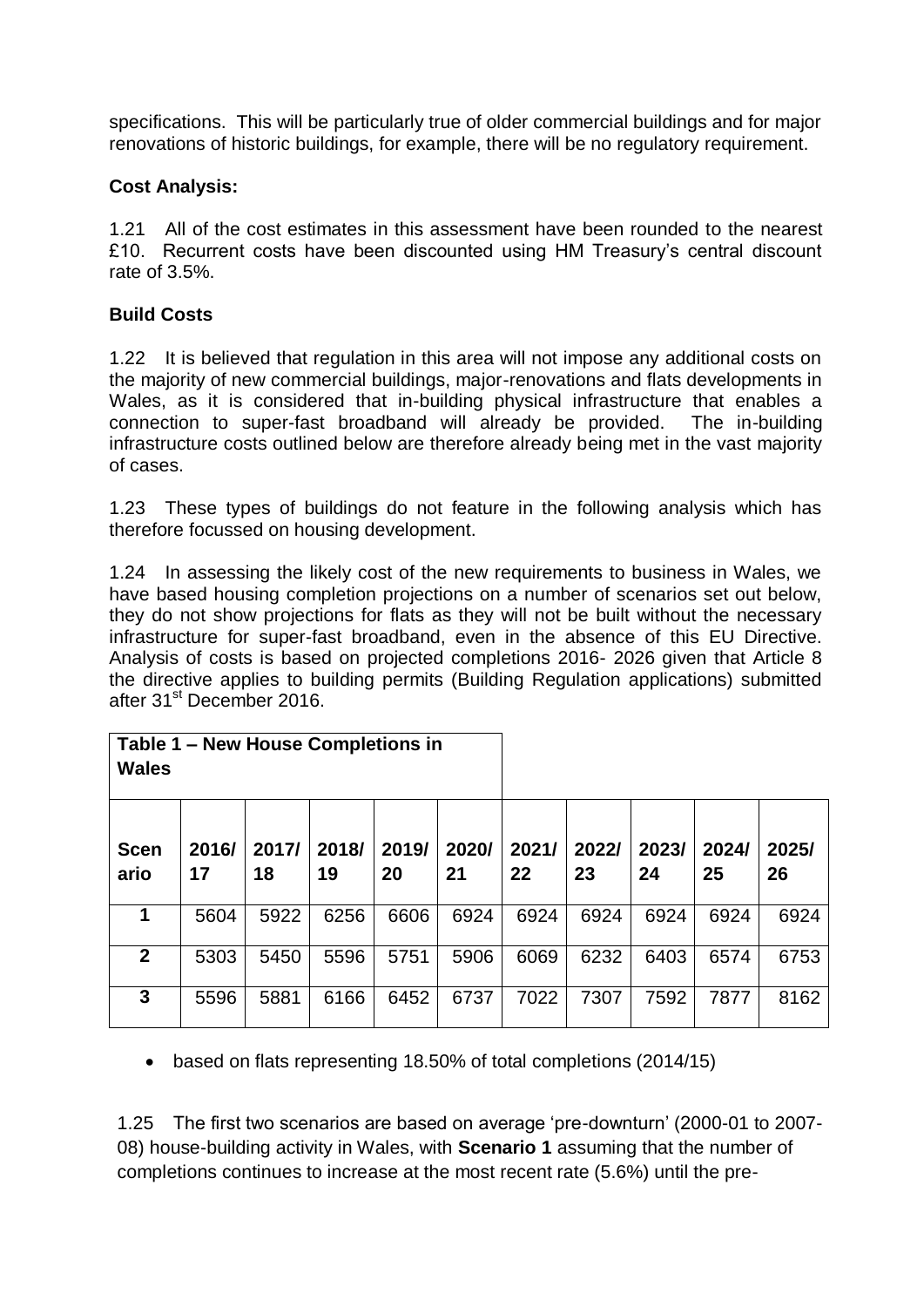specifications. This will be particularly true of older commercial buildings and for major renovations of historic buildings, for example, there will be no regulatory requirement.

#### **Cost Analysis:**

1.21 All of the cost estimates in this assessment have been rounded to the nearest £10. Recurrent costs have been discounted using HM Treasury's central discount rate of 3.5%.

#### **Build Costs**

1.22 It is believed that regulation in this area will not impose any additional costs on the majority of new commercial buildings, major-renovations and flats developments in Wales, as it is considered that in-building physical infrastructure that enables a connection to super-fast broadband will already be provided. The in-building infrastructure costs outlined below are therefore already being met in the vast majority of cases.

1.23 These types of buildings do not feature in the following analysis which has therefore focussed on housing development.

1.24 In assessing the likely cost of the new requirements to business in Wales, we have based housing completion projections on a number of scenarios set out below, they do not show projections for flats as they will not be built without the necessary infrastructure for super-fast broadband, even in the absence of this EU Directive. Analysis of costs is based on projected completions 2016- 2026 given that Article 8 the directive applies to building permits (Building Regulation applications) submitted after 31st December 2016.

| Table 1 – New House Completions in<br><b>Wales</b> |             |             |             |             |             |             |             |             |             |             |
|----------------------------------------------------|-------------|-------------|-------------|-------------|-------------|-------------|-------------|-------------|-------------|-------------|
| <b>Scen</b><br>ario                                | 2016/<br>17 | 2017/<br>18 | 2018/<br>19 | 2019/<br>20 | 2020/<br>21 | 2021/<br>22 | 2022/<br>23 | 2023/<br>24 | 2024/<br>25 | 2025/<br>26 |
| 1                                                  | 5604        | 5922        | 6256        | 6606        | 6924        | 6924        | 6924        | 6924        | 6924        | 6924        |
| $\overline{2}$                                     | 5303        | 5450        | 5596        | 5751        | 5906        | 6069        | 6232        | 6403        | 6574        | 6753        |
| 3                                                  | 5596        | 5881        | 6166        | 6452        | 6737        | 7022        | 7307        | 7592        | 7877        | 8162        |

based on flats representing 18.50% of total completions (2014/15)

1.25 The first two scenarios are based on average 'pre-downturn' (2000-01 to 2007- 08) house-building activity in Wales, with **Scenario 1** assuming that the number of completions continues to increase at the most recent rate (5.6%) until the pre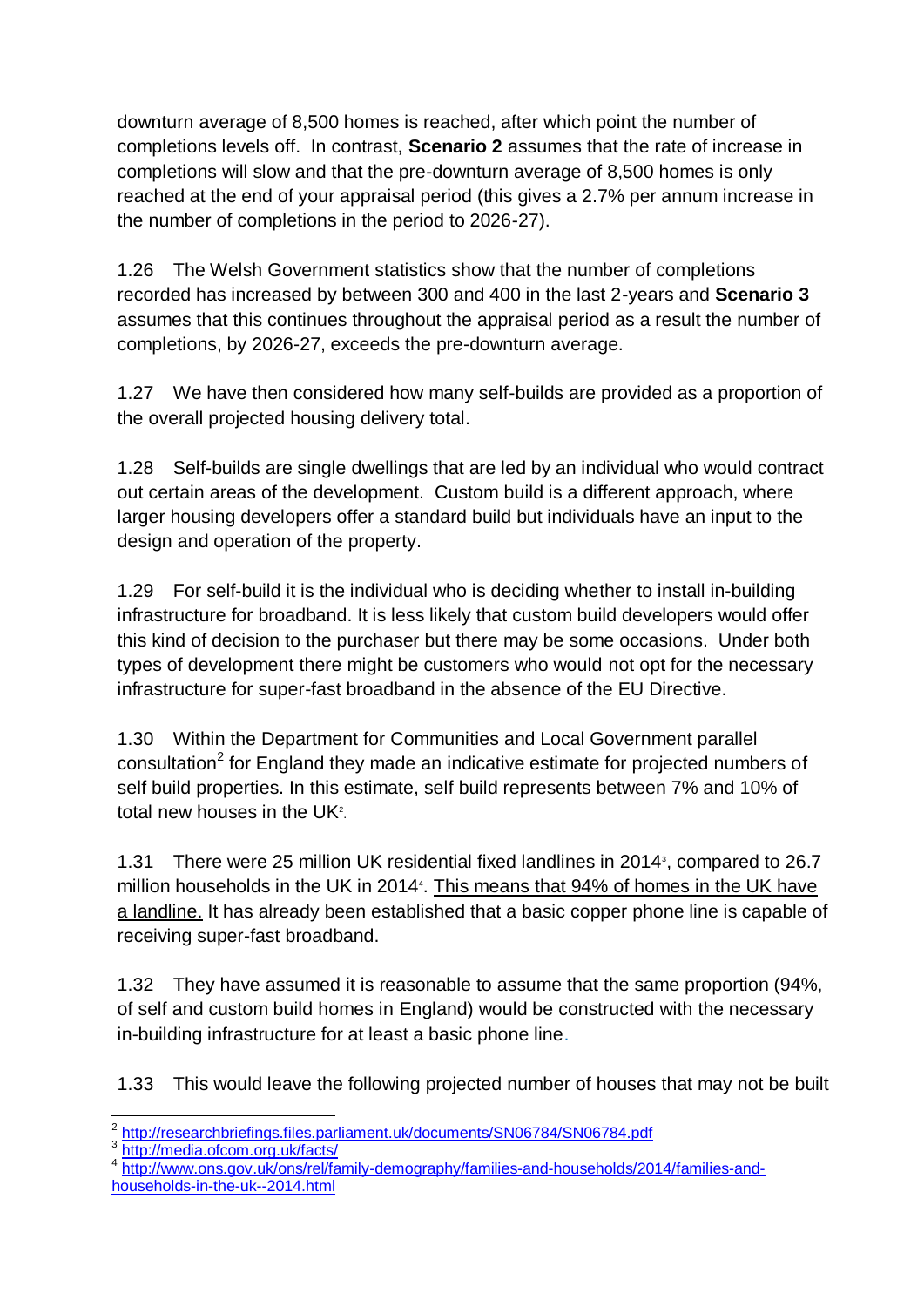downturn average of 8,500 homes is reached, after which point the number of completions levels off. In contrast, **Scenario 2** assumes that the rate of increase in completions will slow and that the pre-downturn average of 8,500 homes is only reached at the end of your appraisal period (this gives a 2.7% per annum increase in the number of completions in the period to 2026-27).

1.26 The Welsh Government statistics show that the number of completions recorded has increased by between 300 and 400 in the last 2-years and **Scenario 3** assumes that this continues throughout the appraisal period as a result the number of completions, by 2026-27, exceeds the pre-downturn average.

1.27 We have then considered how many self-builds are provided as a proportion of the overall projected housing delivery total.

1.28 Self-builds are single dwellings that are led by an individual who would contract out certain areas of the development. Custom build is a different approach, where larger housing developers offer a standard build but individuals have an input to the design and operation of the property.

1.29 For self-build it is the individual who is deciding whether to install in-building infrastructure for broadband. It is less likely that custom build developers would offer this kind of decision to the purchaser but there may be some occasions. Under both types of development there might be customers who would not opt for the necessary infrastructure for super-fast broadband in the absence of the EU Directive.

1.30 Within the Department for Communities and Local Government parallel consultation<sup>2</sup> for England they made an indicative estimate for projected numbers of self build properties. In this estimate, self build represents between 7% and 10% of total new houses in the UK $2$ .

1.31 There were 25 million UK residential fixed landlines in 2014<sup>3</sup>, compared to 26.7 million households in the UK in 2014<sup>4</sup>. This means that 94% of homes in the UK have a landline. It has already been established that a basic copper phone line is capable of receiving super-fast broadband.

1.32 They have assumed it is reasonable to assume that the same proportion (94%, of self and custom build homes in England) would be constructed with the necessary in-building infrastructure for at least a basic phone line.

1.33 This would leave the following projected number of houses that may not be built

4 [http://www.ons.gov.uk/ons/rel/family-demography/families-and-households/2014/families-and](http://www.ons.gov.uk/ons/rel/family-demography/families-and-households/2014/families-and-households-in-the-uk--2014.html)[households-in-the-uk--2014.html](http://www.ons.gov.uk/ons/rel/family-demography/families-and-households/2014/families-and-households-in-the-uk--2014.html)

 $\overline{a}$ <sup>2</sup> <http://researchbriefings.files.parliament.uk/documents/SN06784/SN06784.pdf>

<sup>3</sup> <http://media.ofcom.org.uk/facts/>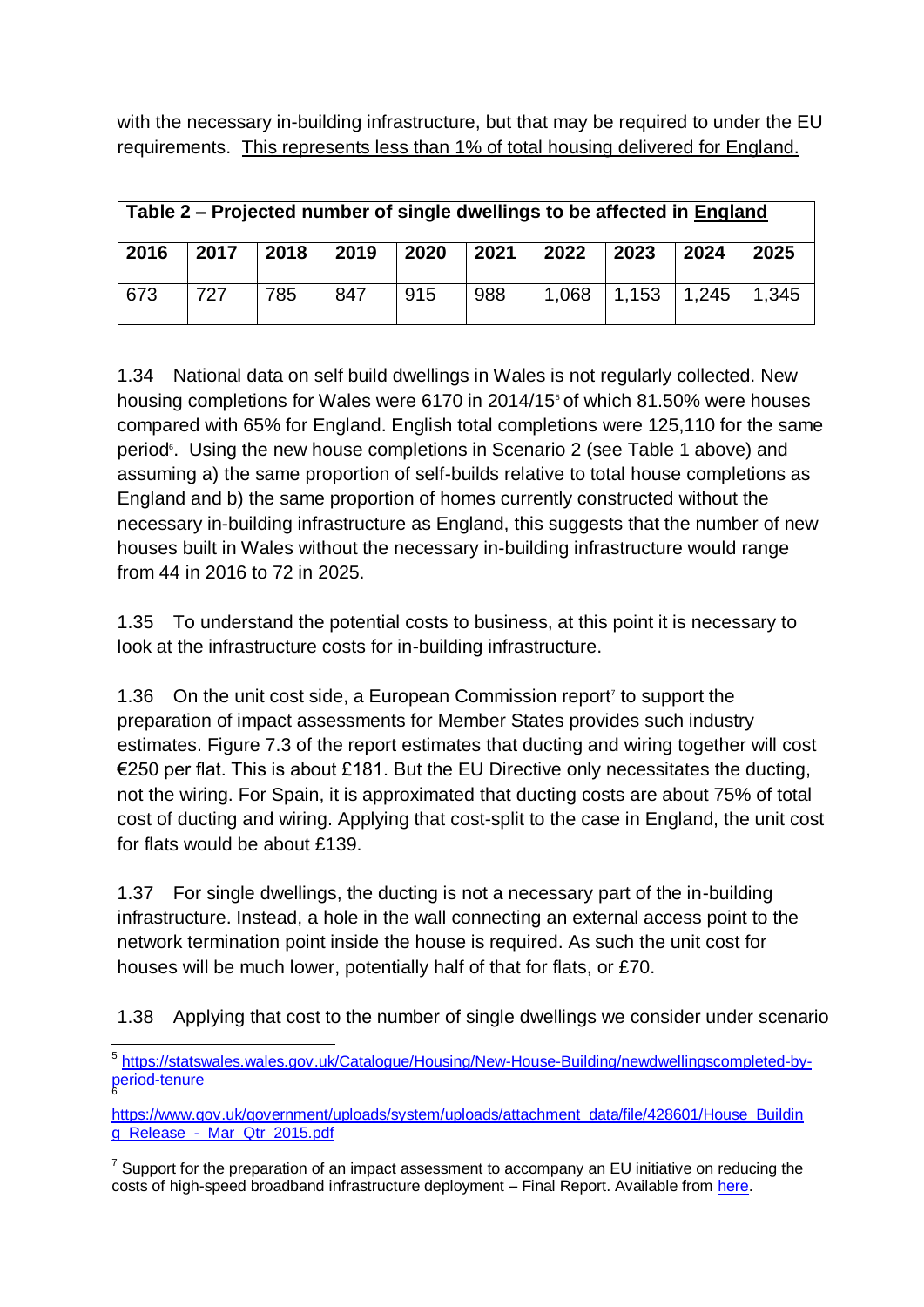with the necessary in-building infrastructure, but that may be required to under the EU requirements. This represents less than 1% of total housing delivered for England.

| Table 2 – Projected number of single dwellings to be affected in England |      |                |      |      |      |       |             |                                             |      |
|--------------------------------------------------------------------------|------|----------------|------|------|------|-------|-------------|---------------------------------------------|------|
| 2016                                                                     | 2017 | $ 2018\rangle$ | 2019 | 2020 | 2021 | 2022  | $\mid$ 2023 | 2024                                        | 2025 |
| 673                                                                      | 727  | 785            | 847  | 915  | 988  | 1,068 |             | $\vert 1,153 \vert 1,245 \vert 1,345 \vert$ |      |

1.34 National data on self build dwellings in Wales is not regularly collected. New housing completions for Wales were 6170 in 2014/15<sup>5</sup> of which 81.50% were houses compared with 65% for England. English total completions were 125,110 for the same period<sup>®</sup>. Using the new house completions in Scenario 2 (see Table 1 above) and assuming a) the same proportion of self-builds relative to total house completions as England and b) the same proportion of homes currently constructed without the necessary in-building infrastructure as England, this suggests that the number of new houses built in Wales without the necessary in-building infrastructure would range from 44 in 2016 to 72 in 2025.

1.35 To understand the potential costs to business, at this point it is necessary to look at the infrastructure costs for in-building infrastructure.

1.36 On the unit cost side, a European Commission report<sup>7</sup> to support the preparation of impact assessments for Member States provides such industry estimates. Figure 7.3 of the report estimates that ducting and wiring together will cost €250 per flat. This is about £181. But the EU Directive only necessitates the ducting, not the wiring. For Spain, it is approximated that ducting costs are about 75% of total cost of ducting and wiring. Applying that cost-split to the case in England, the unit cost for flats would be about £139.

1.37 For single dwellings, the ducting is not a necessary part of the in-building infrastructure. Instead, a hole in the wall connecting an external access point to the network termination point inside the house is required. As such the unit cost for houses will be much lower, potentially half of that for flats, or £70.

1.38 Applying that cost to the number of single dwellings we consider under scenario

<sup>1</sup> <sup>5</sup> [https://statswales.wales.gov.uk/Catalogue/Housing/New-House-Building/newdwellingscompleted-by](https://statswales.wales.gov.uk/Catalogue/Housing/New-House-Building/newdwellingscompleted-by-period-tenure)[period-tenure](https://statswales.wales.gov.uk/Catalogue/Housing/New-House-Building/newdwellingscompleted-by-period-tenure) 6

[https://www.gov.uk/government/uploads/system/uploads/attachment\\_data/file/428601/House\\_Buildin](https://www.gov.uk/government/uploads/system/uploads/attachment_data/file/428601/House_Building_Release_-_Mar_Qtr_2015.pdf) [g\\_Release\\_-\\_Mar\\_Qtr\\_2015.pdf](https://www.gov.uk/government/uploads/system/uploads/attachment_data/file/428601/House_Building_Release_-_Mar_Qtr_2015.pdf)

 $7$  Support for the preparation of an impact assessment to accompany an EU initiative on reducing the costs of high-speed broadband infrastructure deployment – Final Report. Available from [here.](https://ec.europa.eu/digital-agenda/en/news/support-preparation-impact-assessment-accompany-eu-initiative-reducing-costs-high-speed)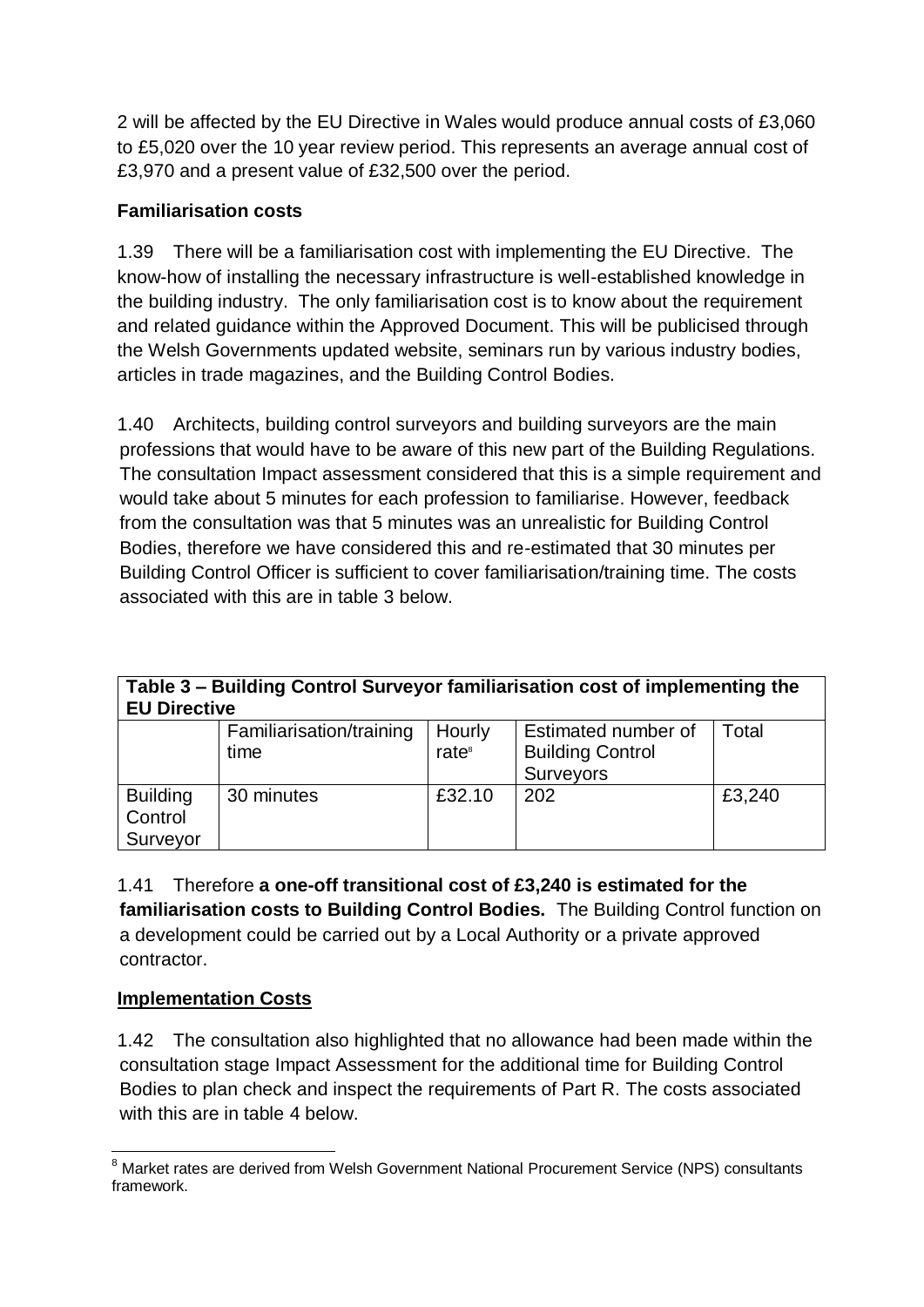2 will be affected by the EU Directive in Wales would produce annual costs of £3,060 to £5,020 over the 10 year review period. This represents an average annual cost of £3,970 and a present value of £32,500 over the period.

### **Familiarisation costs**

1.39 There will be a familiarisation cost with implementing the EU Directive. The know-how of installing the necessary infrastructure is well-established knowledge in the building industry. The only familiarisation cost is to know about the requirement and related guidance within the Approved Document. This will be publicised through the Welsh Governments updated website, seminars run by various industry bodies, articles in trade magazines, and the Building Control Bodies.

1.40 Architects, building control surveyors and building surveyors are the main professions that would have to be aware of this new part of the Building Regulations. The consultation Impact assessment considered that this is a simple requirement and would take about 5 minutes for each profession to familiarise. However, feedback from the consultation was that 5 minutes was an unrealistic for Building Control Bodies, therefore we have considered this and re-estimated that 30 minutes per Building Control Officer is sufficient to cover familiarisation/training time. The costs associated with this are in table 3 below.

| Table 3 – Building Control Surveyor familiarisation cost of implementing the<br><b>EU Directive</b> |                                   |                   |                         |       |  |  |  |
|-----------------------------------------------------------------------------------------------------|-----------------------------------|-------------------|-------------------------|-------|--|--|--|
|                                                                                                     | Familiarisation/training   Hourly |                   | Estimated number of     | Total |  |  |  |
|                                                                                                     | time                              | rate <sup>8</sup> | <b>Building Control</b> |       |  |  |  |
|                                                                                                     |                                   |                   | Surveyors               |       |  |  |  |

30 minutes £32.10 202 £3,240

| Control<br>Surveyor |                                                                                                                                                                                                                                         |  |  |
|---------------------|-----------------------------------------------------------------------------------------------------------------------------------------------------------------------------------------------------------------------------------------|--|--|
| 1.41                | Therefore a one-off transitional cost of £3,240 is estimated for the                                                                                                                                                                    |  |  |
|                     | familiarisation costs to Building Control Bodies. The Building Control function on                                                                                                                                                      |  |  |
|                     | $\mathbf{I} = \mathbf{I}$ , and the set of the set of the set of the set of the set of the set of the set of the set of the set of the set of the set of the set of the set of the set of the set of the set of the set of the set of t |  |  |

a development could be carried out by a Local Authority or a private approved contractor.

## **Implementation Costs**

**Building** 

1.42 The consultation also highlighted that no allowance had been made within the consultation stage Impact Assessment for the additional time for Building Control Bodies to plan check and inspect the requirements of Part R. The costs associated with this are in table 4 below.

 $\overline{a}$ <sup>8</sup> Market rates are derived from Welsh Government National Procurement Service (NPS) consultants framework.